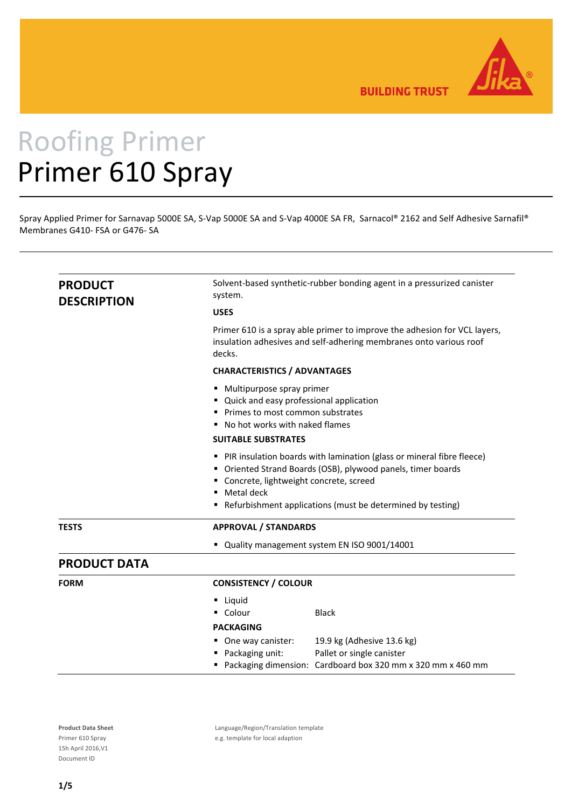

**BUILDING TRUST** 

# Roofing Primer Primer 610 Spray

Spray Applied Primer for Sarnavap 5000E SA, S‐Vap 5000E SA and S‐Vap 4000E SA FR, Sarnacol® 2162 and Self Adhesive Sarnafil® Membranes G410‐ FSA or G476‐ SA

| <b>PRODUCT</b><br><b>DESCRIPTION</b> | Solvent-based synthetic-rubber bonding agent in a pressurized canister<br>system.                                                                                                                                                                                                                                                                                                                                                             |  |  |  |              |
|--------------------------------------|-----------------------------------------------------------------------------------------------------------------------------------------------------------------------------------------------------------------------------------------------------------------------------------------------------------------------------------------------------------------------------------------------------------------------------------------------|--|--|--|--------------|
|                                      | <b>USES</b><br>Primer 610 is a spray able primer to improve the adhesion for VCL layers,<br>insulation adhesives and self-adhering membranes onto various roof<br>decks.<br><b>CHARACTERISTICS / ADVANTAGES</b>                                                                                                                                                                                                                               |  |  |  |              |
|                                      |                                                                                                                                                                                                                                                                                                                                                                                                                                               |  |  |  |              |
|                                      |                                                                                                                                                                                                                                                                                                                                                                                                                                               |  |  |  |              |
|                                      | • Multipurpose spray primer<br>Quick and easy professional application<br>• Primes to most common substrates<br>No hot works with naked flames<br><b>SUITABLE SUBSTRATES</b><br>• PIR insulation boards with lamination (glass or mineral fibre fleece)<br>Oriented Strand Boards (OSB), plywood panels, timer boards<br>" Concrete, lightweight concrete, screed<br>Metal deck<br>Refurbishment applications (must be determined by testing) |  |  |  |              |
|                                      |                                                                                                                                                                                                                                                                                                                                                                                                                                               |  |  |  | <b>TESTS</b> |
|                                      | " Quality management system EN ISO 9001/14001                                                                                                                                                                                                                                                                                                                                                                                                 |  |  |  |              |
| <b>PRODUCT DATA</b>                  |                                                                                                                                                                                                                                                                                                                                                                                                                                               |  |  |  |              |
| <b>FORM</b>                          | <b>CONSISTENCY / COLOUR</b>                                                                                                                                                                                                                                                                                                                                                                                                                   |  |  |  |              |
|                                      | Liquid<br>٠<br>Colour<br><b>Black</b>                                                                                                                                                                                                                                                                                                                                                                                                         |  |  |  |              |
|                                      | <b>PACKAGING</b>                                                                                                                                                                                                                                                                                                                                                                                                                              |  |  |  |              |
|                                      | One way canister:<br>19.9 kg (Adhesive 13.6 kg)<br>Pallet or single canister<br>Packaging unit:<br>Packaging dimension: Cardboard box 320 mm x 320 mm x 460 mm<br>٠                                                                                                                                                                                                                                                                           |  |  |  |              |

Product Data Sheet **Language/Region/Translation template** Primer 610 Spray e.g. template for local adaption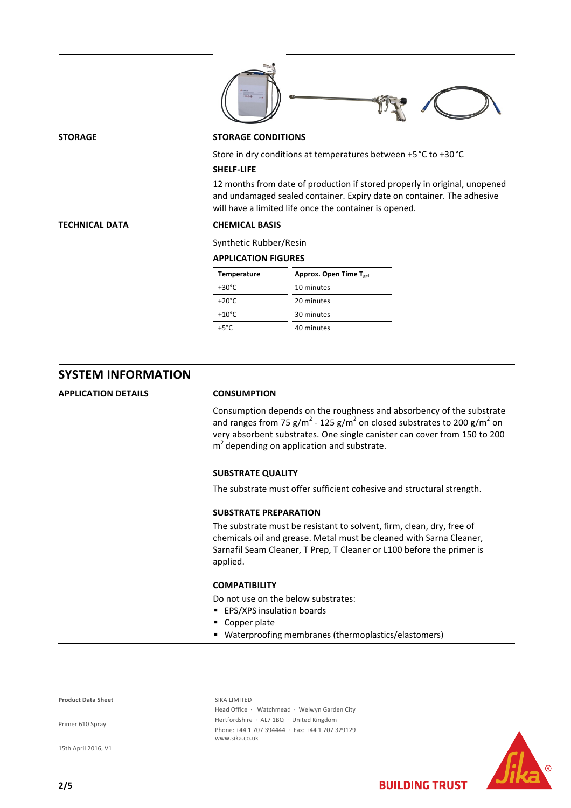| <b>STORAGE</b>        |                                                                                                                                                                                                                | <b>STORAGE CONDITIONS</b>                                       |  |  |  |  |
|-----------------------|----------------------------------------------------------------------------------------------------------------------------------------------------------------------------------------------------------------|-----------------------------------------------------------------|--|--|--|--|
|                       |                                                                                                                                                                                                                | Store in dry conditions at temperatures between +5 °C to +30 °C |  |  |  |  |
|                       | <b>SHELF-LIFE</b>                                                                                                                                                                                              |                                                                 |  |  |  |  |
|                       | 12 months from date of production if stored properly in original, unopened<br>and undamaged sealed container. Expiry date on container. The adhesive<br>will have a limited life once the container is opened. |                                                                 |  |  |  |  |
| <b>TECHNICAL DATA</b> | <b>CHEMICAL BASIS</b>                                                                                                                                                                                          |                                                                 |  |  |  |  |
|                       | Synthetic Rubber/Resin                                                                                                                                                                                         |                                                                 |  |  |  |  |
|                       | <b>APPLICATION FIGURES</b>                                                                                                                                                                                     |                                                                 |  |  |  |  |
|                       | <b>Temperature</b>                                                                                                                                                                                             | Approx. Open Time T <sub>gel</sub>                              |  |  |  |  |
|                       | $+30^{\circ}$ C                                                                                                                                                                                                | 10 minutes                                                      |  |  |  |  |
|                       | $+20^{\circ}$ C                                                                                                                                                                                                | 20 minutes                                                      |  |  |  |  |
|                       | $+10^{\circ}$ C                                                                                                                                                                                                | 30 minutes                                                      |  |  |  |  |
|                       | $+5^{\circ}$ C                                                                                                                                                                                                 | 40 minutes                                                      |  |  |  |  |

## **SYSTEM INFORMATION**

**APPLICATION DETAILS CONSUMPTION**

Consumption depends on the roughness and absorbency of the substrate and ranges from 75 g/m<sup>2</sup> - 125 g/m<sup>2</sup> on closed substrates to 200 g/m<sup>2</sup> on very absorbent substrates. One single canister can cover from 150 to 200  $m<sup>2</sup>$  depending on application and substrate.

#### **SUBSTRATE QUALITY**

The substrate must offer sufficient cohesive and structural strength.

### **SUBSTRATE PREPARATION**

The substrate must be resistant to solvent, firm, clean, dry, free of chemicals oil and grease. Metal must be cleaned with Sarna Cleaner, Sarnafil Seam Cleaner, T Prep, T Cleaner or L100 before the primer is applied.

#### **COMPATIBILITY**

Do not use on the below substrates:

- **EPS/XPS insulation boards**
- **Copper plate**
- Waterproofing membranes (thermoplastics/elastomers)

**Product Data Sheet** SIKA LIMITED

Primer 610 Spray

15th April 2016, V1

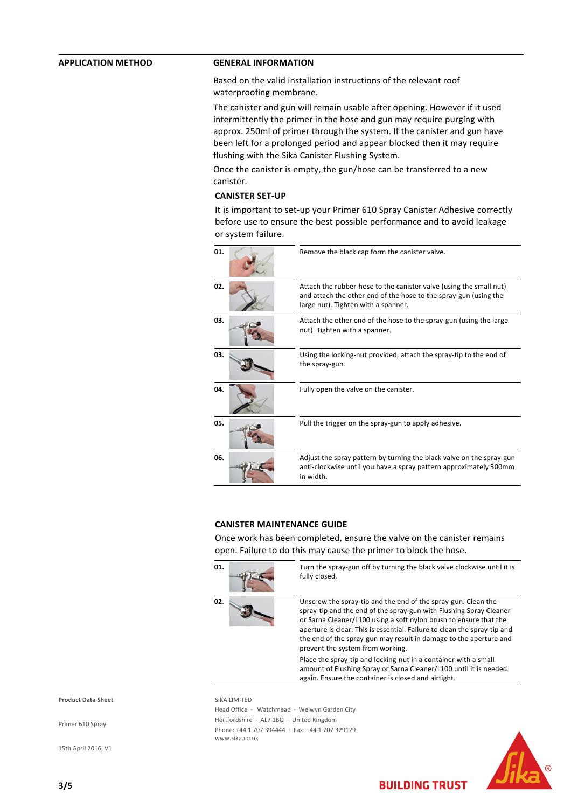### **APPLICATION METHOD GENERAL INFORMATION**

Based on the valid installation instructions of the relevant roof waterproofing membrane.

The canister and gun will remain usable after opening. However if it used intermittently the primer in the hose and gun may require purging with approx. 250ml of primer through the system. If the canister and gun have been left for a prolonged period and appear blocked then it may require flushing with the Sika Canister Flushing System.

Once the canister is empty, the gun/hose can be transferred to a new canister.

#### **CANISTER SET‐UP**

It is important to set‐up your Primer 610 Spray Canister Adhesive correctly before use to ensure the best possible performance and to avoid leakage or system failure.



#### **CANISTER MAINTENANCE GUIDE**

Once work has been completed, ensure the valve on the canister remains open. Failure to do this may cause the primer to block the hose.



**01.** Turn the spray-gun off by turning the black valve clockwise until it is fully closed.

**02.** Unscrew the spray-tip and the end of the spray-gun. Clean the spray‐tip and the end of the spray‐gun with Flushing Spray Cleaner or Sarna Cleaner/L100 using a soft nylon brush to ensure that the aperture is clear. This is essential. Failure to clean the spray-tip and the end of the spray‐gun may result in damage to the aperture and prevent the system from working.

> Place the spray‐tip and locking‐nut in a container with a small amount of Flushing Spray or Sarna Cleaner/L100 until it is needed again. Ensure the container is closed and airtight.

**Product Data Sheet** SIKA LIMITED

Primer 610 Spray

15th April 2016, V1

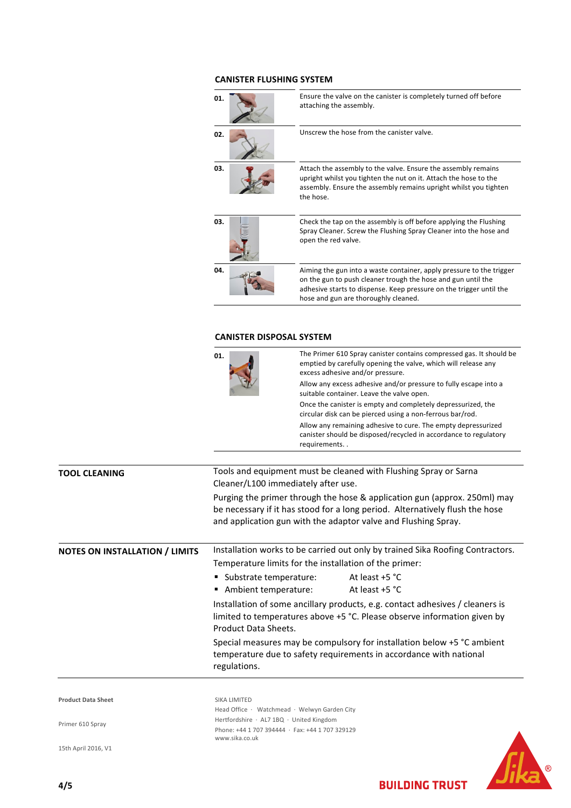## **CANISTER FLUSHING SYSTEM**

| 01. | Ensure the valve on the canister is completely turned off before<br>attaching the assembly.                                                                                                                                                         |
|-----|-----------------------------------------------------------------------------------------------------------------------------------------------------------------------------------------------------------------------------------------------------|
| 02. | Unscrew the hose from the canister valve.                                                                                                                                                                                                           |
| 03. | Attach the assembly to the valve. Ensure the assembly remains<br>upright whilst you tighten the nut on it. Attach the hose to the<br>assembly. Ensure the assembly remains upright whilst you tighten<br>the hose.                                  |
| 03. | Check the tap on the assembly is off before applying the Flushing<br>Spray Cleaner. Screw the Flushing Spray Cleaner into the hose and<br>open the red valve.                                                                                       |
| 04. | Aiming the gun into a waste container, apply pressure to the trigger<br>on the gun to push cleaner trough the hose and gun until the<br>adhesive starts to dispense. Keep pressure on the trigger until the<br>hose and gun are thoroughly cleaned. |
|     |                                                                                                                                                                                                                                                     |

#### **CANISTER DISPOSAL SYSTEM**

|                                       | 01.                                                                                                                                                                                                                         | The Primer 610 Spray canister contains compressed gas. It should be<br>emptied by carefully opening the valve, which will release any<br>excess adhesive and/or pressure.<br>Allow any excess adhesive and/or pressure to fully escape into a<br>suitable container. Leave the valve open. |                                                                                                                                   |  |
|---------------------------------------|-----------------------------------------------------------------------------------------------------------------------------------------------------------------------------------------------------------------------------|--------------------------------------------------------------------------------------------------------------------------------------------------------------------------------------------------------------------------------------------------------------------------------------------|-----------------------------------------------------------------------------------------------------------------------------------|--|
|                                       |                                                                                                                                                                                                                             |                                                                                                                                                                                                                                                                                            |                                                                                                                                   |  |
|                                       |                                                                                                                                                                                                                             |                                                                                                                                                                                                                                                                                            | Once the canister is empty and completely depressurized, the<br>circular disk can be pierced using a non-ferrous bar/rod.         |  |
|                                       |                                                                                                                                                                                                                             | requirements                                                                                                                                                                                                                                                                               | Allow any remaining adhesive to cure. The empty depressurized<br>canister should be disposed/recycled in accordance to regulatory |  |
|                                       |                                                                                                                                                                                                                             |                                                                                                                                                                                                                                                                                            |                                                                                                                                   |  |
| <b>TOOL CLEANING</b>                  | Tools and equipment must be cleaned with Flushing Spray or Sarna<br>Cleaner/L100 immediately after use.                                                                                                                     |                                                                                                                                                                                                                                                                                            |                                                                                                                                   |  |
|                                       | Purging the primer through the hose & application gun (approx. 250ml) may<br>be necessary if it has stood for a long period. Alternatively flush the hose<br>and application gun with the adaptor valve and Flushing Spray. |                                                                                                                                                                                                                                                                                            |                                                                                                                                   |  |
| <b>NOTES ON INSTALLATION / LIMITS</b> | Installation works to be carried out only by trained Sika Roofing Contractors.                                                                                                                                              |                                                                                                                                                                                                                                                                                            |                                                                                                                                   |  |
|                                       | Temperature limits for the installation of the primer:                                                                                                                                                                      |                                                                                                                                                                                                                                                                                            |                                                                                                                                   |  |
|                                       | ■ Substrate temperature:                                                                                                                                                                                                    |                                                                                                                                                                                                                                                                                            | At least +5 °C                                                                                                                    |  |
|                                       | Ambient temperature:                                                                                                                                                                                                        |                                                                                                                                                                                                                                                                                            | At least +5 °C                                                                                                                    |  |

Installation of some ancillary products, e.g. contact adhesives / cleaners is limited to temperatures above +5 °C. Please observe information given by Product Data Sheets.

Special measures may be compulsory for installation below +5 °C ambient temperature due to safety requirements in accordance with national regulations.

**Product Data Sheet** SIKA LIMITED

Primer 610 Spray

15th April 2016, V1